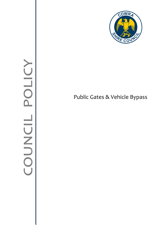

# Public Gates & Vehicle Bypass

# COUNCIL POLIC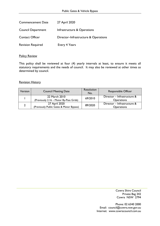| <b>Commencement Date</b>  | 27 April 2020                        |
|---------------------------|--------------------------------------|
| <b>Council Department</b> | Infrastructure & Operations          |
| <b>Contact Officer</b>    | Director-Infrastructure & Operations |
| <b>Revision Required</b>  | Every 4 Years                        |

### **Policy Review**

This policy shall be reviewed at four (4) yearly intervals at least, to ensure it meets all statutory requirements and the needs of council. It may also be reviewed at other times as determined by council.

### Revision History

| Version | <b>Council Meeting Date</b>                               | Resolution<br>No. | <b>Responsible Officer</b>                       |
|---------|-----------------------------------------------------------|-------------------|--------------------------------------------------|
|         | 22 March 2010<br>(Previously 2.16 - Motor By-Pass Grids)  | 69/2010           | Director - Infrastructure &<br><b>Operations</b> |
|         | 27 April 2020<br>(Previously Public Gates & Motor Bypass) | 89/2020           | Director - Infrastructure &<br><b>Operations</b> |

Cowra Shire Council Private Bag 342 Cowra NSW 2794

Phone: 02 6340 2000 Email: council@cowra.nsw.gov.au Internet: [www.cowracouncil.com.au](http://www.cowraregion.com.au/)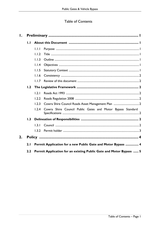## Table of Contents

| Ι.           |     |       |                                                                    |  |
|--------------|-----|-------|--------------------------------------------------------------------|--|
| $\mathbf{L}$ |     |       |                                                                    |  |
|              |     | 1.1.1 |                                                                    |  |
|              |     | 1.1.2 |                                                                    |  |
|              |     | 1.1.3 |                                                                    |  |
|              |     | 1.1.4 |                                                                    |  |
|              |     | 1.1.5 |                                                                    |  |
|              |     | 1.1.6 |                                                                    |  |
|              |     | 1.1.7 |                                                                    |  |
|              | 1.2 |       |                                                                    |  |
|              |     | 1.2.1 |                                                                    |  |
|              |     | 1.2.2 |                                                                    |  |
|              |     | 1.2.3 |                                                                    |  |
|              |     | 1.2.4 | Cowra Shire Council Public Gates and Motor Bypass Standard         |  |
|              | 1.3 |       |                                                                    |  |
|              |     | 1.3.1 |                                                                    |  |
|              |     | 1.3.2 |                                                                    |  |
| 2.           |     |       |                                                                    |  |
|              | 2.1 |       | Permit Application for a new Public Gate and Motor Bypass  4       |  |
| 2.2          |     |       | Permit Application for an existing Public Gate and Motor Bypass  5 |  |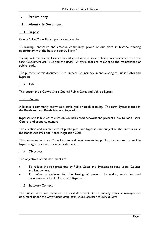### <span id="page-3-0"></span>**1. Preliminary**

### <span id="page-3-1"></span>**1.1 About this Document**

### <span id="page-3-2"></span>1.1.1 Purpose

Cowra Shire Council's adopted vision is to be:

"A leading, innovative and creative community, proud of our place in history, offering opportunity with the best of country living."

To support this vision, Council has adopted various local policies, in accordance with the *Local Government Act 1993* and the *Roads Act 1993,* that are relevant to the maintenance of public roads.

The purpose of this document is to present Council document relating to Public Gates and Bypasses.

### <span id="page-3-3"></span>1.1.2 Title

This document is Cowra Shire Council Public Gates and Vehicle Bypass.

### <span id="page-3-4"></span>1.1.3 Outline

A Bypass is commonly known as a cattle grid or stock crossing. The term Bypass is used in the Roads Act and Roads General Regulation.

Bypasses and Public Gates exist on Council's road network and present a risk to road users, Council and property owners.

The erection and maintenance of public gates and bypasses are subject to the provisions of the Roads Act 1993 and Roads Regulation 2008.

This document sets out Council's standard requirements for public gates and motor vehicle bypasses (grids or ramps) on dedicated roads.

### <span id="page-3-5"></span>1.1.4 Objectives

The objectives of this document are:

- To reduce the risk presented by Public Gates and Bypasses to road users, Council and landowners;
- To define procedures for the issuing of permits, inspection, evaluation and maintenance of Public Gates and Bypasses.

### <span id="page-3-6"></span>1.1.5 Statutory Context

The Public Gates and Bypasses is a local document. It is a publicly available management document under the *Government Information (Public Access) Act 2009 (NSW).*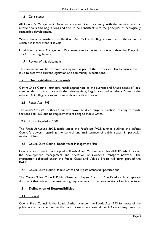### <span id="page-4-0"></span>1.1.6 Consistency

All Council's Management Documents are required to comply with the requirements of relevant Acts and Regulations and also to be consistent with the principles of ecologically sustainable development.

Where this is inconsistent with the *Roads Act 1993* or the Regulations, then to the extent to which it is inconsistent, it is void.

In addition, a local Management Document cannot be more onerous than the *Roads Act 1993* or the Regulations.

### <span id="page-4-1"></span>1.1.7 Review of this document

This document will be reviewed as required as part of the Corporate Plan to ensure that it is up to date with current legislation and community expectations.

### <span id="page-4-2"></span>**1.2 The Legislative Framework**

Cowra Shire Council maintains roads appropriate to the current and future needs of local communities in accordance with the relevant Acts, Regulations and standards. Some of the relevant Acts, Regulations and standards are outlined below.

### <span id="page-4-3"></span>1.2.1 Roads Act 1993

The *Roads Act 1993* outlines Council's power to do a range of functions relating to roads. Sections 128 -137 outline requirements relating to Public Gates.

### <span id="page-4-4"></span>1.2.2 Roads Regulation 2008

The *Roads Regulation 2008*, made under the *Roads Act 1993,* further outlines and defines Council's powers regarding the control and maintenance of public roads, in particular sections 73-76.

### <span id="page-4-5"></span>1.2.3 Cowra Shire Council Roads Asset Management Plan

Cowra Shire Council has adopted a Roads Asset Management Plan (RAMP) which covers the development, management and operation of Council's transport network. The information collected under the Public Gates and Vehicle Bypass will form part of the RAMP.

### <span id="page-4-6"></span>1.2.4 Cowra Shire Council Public Gates and Bypass Standard Specifications

The Cowra Shire Council Public Gates and Bypass Standard Specifications is a separate document that sets out the engineering requirements for the construction of such structure.

### <span id="page-4-7"></span>**1.3 Delineation of Responsibilities**

### <span id="page-4-8"></span>1.3.1 Council

Cowra Shire Council is the Roads Authority under the Roads Act 1993 for most of the public roads contained within the Local Government area. As such Council may issue (or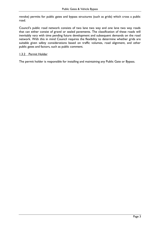revoke) permits for public gates and bypass structures (such as grids) which cross a public road.

Council's public road network consists of two lane two way and one lane two way roads that can either consist of gravel or sealed pavements. The classification of these roads will inevitably vary with time pending future development and subsequent demands on the road network. With this in mind Council requires the flexibility to determine whether grids are suitable given safety considerations based on traffic volumes, road alignment, and other public gates and factors, such as public comment.

### <span id="page-5-0"></span>**1.3.2 Permit Holder**

The permit holder is responsible for installing and maintaining any Public Gate or Bypass.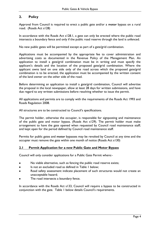### <span id="page-6-0"></span>**2. Policy**

Approval from Council is required to erect a public gate and/or a motor bypass on a rural road. (Roads Act s128)

In accordance with the Roads Act s128.1, a gate can only be erected where the public road intersects a boundary fence and only if the public road reserve through the land is unfenced.

No new public gates will be permitted except as part of a gate/grid combination.

Applications must be accompanied by the appropriate fee to cover administration and advertising costs as documented in the Revenue Policy of the Management Plan. An application to install a gate/grid combination must be in writing and must specify the applicant's details and the location of the proposed gate/grid combination. Where the applicant owns land on one side only of the road across which the proposed gate/grid combination is to be erected, the application must be accompanied by the written consent of the land owner on the other side of the road.

Before determining an application to install a gate/grid combination, Council will advertise the proposal in the local newspaper, allow at least 28 days for written submissions, and have due regard to any written submissions before resolving whether to issue the permit.

All applications and permits are to comply with the requirements of the Roads Act 1993 and Roads Regulation 2008.

All structures are to be constructed to Council's specifications.

The permit holder, otherwise the occupier, is responsible for signposting and maintenance of the public gate and motor bypass. (Roads Act s129). The permit holder must make arrangement to have the gate opened when requested by Council road maintenance staff; and kept open for the period defined by Council road maintenance staff.

Permits for public gates and motor bypasses may be revoked by Council at any time and the occupier must remove the gate within one month of notice (Roads Act s130)

### <span id="page-6-1"></span>**2.1 Permit Application for a new Public Gate and Motor Bypass**

Council will only consider applications for a Public Gate Permit where:-

- No viable alternative, such as fencing the public road reserve exists;
- Is not an excluded road as defined in Table 1 below;  $\bullet$
- Road safety assessment indicate placement of such structures would not create an unacceptable hazard;
- The road intersects a boundary fence.

In accordance with the Roads Act s133, Council will require a bypass to be constructed in conjunction with the gate. Table 1 below details Council's requirements.